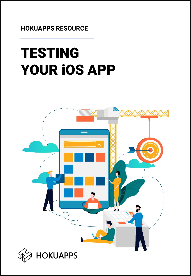**HOKUAPPS RESOURCE**

# TESTING YOUR iOS APP

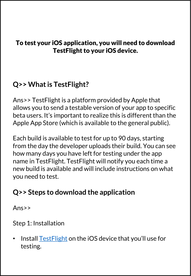#### To test your iOS application, you will need to download TestFlight to your iOS device.

## **Q>> What is TestFlight?**

Ans>> TestFlight is a platform provided by Apple that allows you to send a testable version of your app to specific beta users. It's important to realize this is different than the Apple App Store (which is available to the general public).

Each build is available to test for up to 90 days, starting from the day the developer uploads their build. You can see how many days you have left for testing under the app name in TestFlight. TestFlight will notify you each time a new build is available and will include instructions on what you need to test.

# **Q>> Steps to download the application**

Ans>>

Step 1: Installation

• Install **[TestFlight](https://apps.apple.com/us/app/testflight/id899247664)** on the iOS device that you'll use for testing.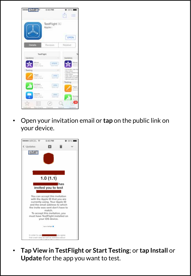| 055.00 P                                        | 6:40 PM                   | 38%1<br>, m<br>Œ                                                                                                                           |
|-------------------------------------------------|---------------------------|--------------------------------------------------------------------------------------------------------------------------------------------|
|                                                 | TestFlight (4)<br>Apple : | "OPEN                                                                                                                                      |
| <b>Details</b>                                  | Reviews Related           |                                                                                                                                            |
| TextFlight<br><b>Updates</b>                    |                           | Updates                                                                                                                                    |
| Ahmer<br>Perimet 11.0<br>Prim in Trud a .:      | <b>LIFOATS</b>            |                                                                                                                                            |
| Testing<br>Pages<br>Wood FEL<br>Imar to hote a  | 19916                     | - Full service<br>- Side Inches<br>-Dansen per<br>- Illinin implicato<br>- New Work and Fat<br>1. Add audio to a co<br>- Distance textile? |
| Abinbers<br>$m = 123$<br>all the family at      | <b>CITEN</b>              | Testing<br>Page<br><b>STATE</b>                                                                                                            |
| Keytotte:<br>Weight (LET)<br>Photo by Teah at 1 | CRYS                      |                                                                                                                                            |
| 疆<br>Ting Ch                                    | Exp                       |                                                                                                                                            |

• Open your invitation email or **tap** on the public link on your device.



• **Tap View in TestFlight or Start Testing**; or **tap Install** or **Update** for the app you want to test.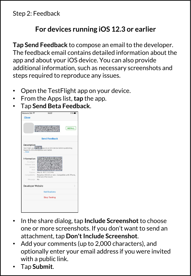Step 2: Feedback

#### **For devices running iOS 12.3 or earlier**

**Tap Send Feedback** to compose an email to the developer. The feedback email contains detailed information about the app and about your iOS device. You can also provide additional information, such as necessary screenshots and steps required to reproduce any issues.

- Open the TestFlight app on your device.
- From the Apps list, **tap** the app.
- Tap **Send Beta Feedback**.



- In the share dialog, tap **Include Screenshot** to choose one or more screenshots. If you don't want to send an attachment, tap **Don't Include Screenshot**.
- Add your comments (up to 2,000 characters), and optionally enter your email address if you were invited with a public link.
- Tap **Submit**.